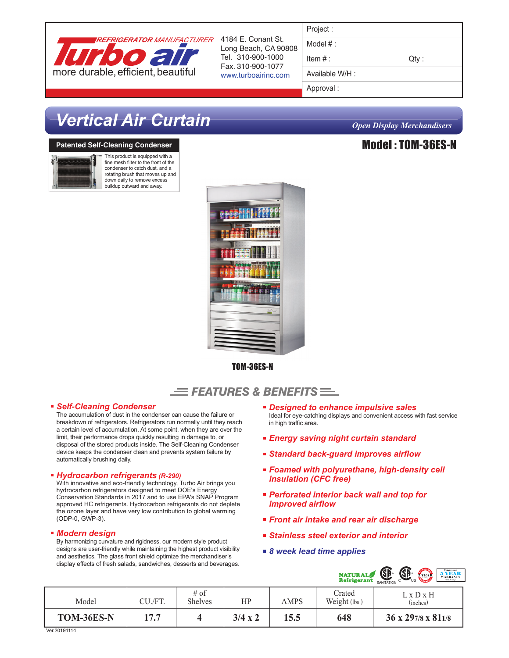

4184 E. Conant St. Long Beach, CA 90808 Tel. 310-900-1000 Fax. 310-900-1077 www.turboairinc.com

| Project |  |  |
|---------|--|--|
|         |  |  |
|         |  |  |

Model # :

 $Item #:$  Qty :

Available W/H :

Approval :

# *Vertical Air Curtain Open Display Merchandisers*

### **Patented Self-Cleaning Condenser**



This product is equipped with a fine mesh filter to the front of the condenser to catch dust, and a rotating brush that moves up and down daily to remove excess buildup outward and away.



TOM-36ES-N

### $\equiv$  Features & Benefits  $\equiv$

### *Self-Cleaning Condenser*

The accumulation of dust in the condenser can cause the failure or breakdown of refrigerators. Refrigerators run normally until they reach a certain level of accumulation. At some point, when they are over the limit, their performance drops quickly resulting in damage to, or disposal of the stored products inside. The Self-Cleaning Condenser device keeps the condenser clean and prevents system failure by automatically brushing daily.

### *Hydrocarbon refrigerants (R-290)*

With innovative and eco-friendly technology, Turbo Air brings you hydrocarbon refrigerators designed to meet DOE's Energy Conservation Standards in 2017 and to use EPA's SNAP Program approved HC refrigerants. Hydrocarbon refrigerants do not deplete the ozone layer and have very low contribution to global warming (ODP-0, GWP-3).

### *Modern design*

By harmonizing curvature and rigidness, our modern style product designs are user-friendly while maintaining the highest product visibility and aesthetics. The glass front shield optimize the merchandiser's display effects of fresh salads, sandwiches, desserts and beverages.

- *Designed to enhance impulsive sales* Ideal for eye-catching displays and convenient access with fast service in high traffic area.
- *Energy saving night curtain standard*
- *Standard back-guard improves airflow*
- *Foamed with polyurethane, high-density cell insulation (CFC free)*
- *Perforated interior back wall and top for improved airflow*
- *Front air intake and rear air discharge*
- *Stainless steel exterior and interior*
- *8 week lead time applies*



| Model      | CU./FT. | $#$ of<br><b>Shelves</b> | HP             | AMPS | Crated<br>Weight (lbs.) | LxDxH<br>(inches)              |
|------------|---------|--------------------------|----------------|------|-------------------------|--------------------------------|
| TOM-36ES-N | 177     |                          | $3/4 \times 2$ | 15.5 | 648                     | $36 \times 297/8 \times 811/8$ |

Ver. 20191114

### Model : TOM-36ES-N